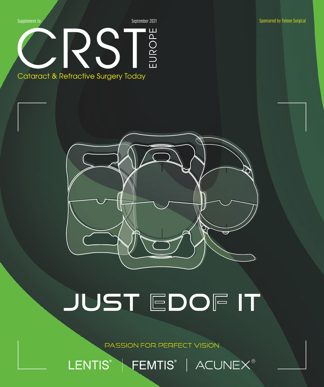

PASSION FOR PERFECT VISION

LENTIS® | FEMTIS® | ACUNEX®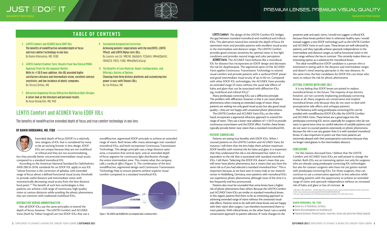**LENTIS Comfort.** The design of the LENTIS Comfort IOL bridges the gap between standard monofocal and multifocal and trifocal IOLs. This aberration-neutral lens extends the depth of focus for optimized vision and provides patients with excellent visual acuity in the intermediate and distance ranges. The LENTIS Comfort provides good contrast sensitivity for optimal vision in low light conditions and provides natural image and color perception. **ACUNEX Vario.** The ACUNEX Vario behaves like a monofocal IOL for distance but incorporates an EDOF design and decreases the risk for dysphotopsia. The segmental optics of the ACUNEX Vario applies Continuous Transmission Technology to extend visual comfort and provide patients with a varifocal EDOF power and good intermediate visual acuity of up to 60 cm. Compared with other EDOF IOL technologies, the ACUNEX Vario provides an extended range of vision without the usual side effects of halos and glare that can be associated with diffractive IOLs

(eg, multifocal and trifocal IOLs).2

Many presbyopia-correcting IOLs use a diffractive principle. The problem with diffraction, however, is that it can cause photic phenomena when creating an extended range of vision. Many patients are seeking not only good visual acuity but also good visual quality—they are not happy with unwanted photic phenomena.

The LENTIS Comfort and ACUNEX Vario IOLs, on the other hand, incorporate a segmental refractive approach to extend the range of vision. They use a lower near addition of +1.50 D to provide continuous transmission and the EDOF effect. Further, these lenses typically provide better near vision than a standard monofocal IOL.

#### PATIENT COUNSELING

Patients are seeing true benefits with EDOF IOLs. When I counsel patients on the LENTIS Comfort and ACUNEX Vario, for instance, I tell them that the lens helps them achieve maximum EDOF benefits with minimal risk for halos and glare. It is important that they understand the risk is not eliminated but rather it is equivalent to the risk that is associated with standard monofocal IOLs. I tell them, "Selecting this EDOF IOL doesn't mean that you will never have photic phenomena, but it means that you have the same risk as if you had selected a standard monofocal lens." This is important because, as we have seen in many trials at our research center in Heidelberg, Germany, even patients with monofocal IOLs can experience photic phenomena, although most of the time it is less frequently and less pronounced.

For the reasons discussed here, I believe that the LENTIS Comfort and ACUNEX Vario IOLs are well poised to change the market. Both IOLs are an interesting option not only for surgeons who are already using presbyopia-correcting IOL technologies but also for cataract surgeons who have not yet gotten started with presbyopia-correcting IOLs. For those surgeons, they can continue to use a conservative approach to lens selection while providing patients with the opportunity to achieve an extended range of vision and spectacle independence without an increased risk of halos and glare or loss of contrast.  $\blacksquare$ 

Patients also must be counseled that some lenses have a higher risk of photic phenomena than others. Because the LENTIS Comfort and ACUNEX Vario IOLs are similar to standard monofocal lenses in this regard, patients find them to be an interesting approach to achieving extended range of vision without the unwanted visual side effects. Patients tend to do well with these lenses and are happy with their vision after surgery. I can therefore recommend them to most patients. With trifocal lenses, on the other hand, I use a careful, conservative approach to patient selection. If I note changes on the

posterior pole and optic nerve, I would not suggest a trifocal IOL because these lenses perform best in otherwise healthy eyes. I would instead suggest a new EDOF technology such as the LENTIS Comfort and ACUNEX Vario in such cases. These lenses are well tolerated by patients, and they typically achieve spectacle independence in the intermediate and distance ranges, as well as functional vision in the near range without the loss in contrast. This certainly makes them an interesting option as a substitute for monofocal lenses.

The ideal nondiffractive EDOF candidate is a person who is interested in seeing well in the distance and intermediate ranges and doesn't mind wearing spectacles in the near distance. At the same time, the best candidates for EDOF IOLs are those who want to reduce the risk for photic phenomena.

#### GETTING STARTED WITH EDOF IOLS

It is my feeling that EDOF lenses are poised to replace monofocal lenses in the future. The majority of eye doctors, however, are not currently implanting presbyopia-correcting lenses at all. Many surgeons are conservative and implant monofocal lenses only because they do not want to deal with postoperative side effects and unhappy patients.

The hesitancy with using presbyopia-correcting IOLs can be avoided with nondiffractive EDOF IOLs like the LENTIS Comfort and ACUNEX Vario. These lenses are a good segue into the presbyopia-correcting IOL sector, especially for surgeons who do not want to spend extra time on careful selection of suitable patients and do not want to counsel patients extensively on photic phenomena because the risk is not any greater than it is with standard monofocal lenses. It's also important to point out that most patients are extremely pleased with their postoperative outcomes because they no longer need glasses in the intermediate distance.

#### **CONCLUSION**

1. ANSI Z80.35-2018. Ophthalmics – extended depth of focus intraocular lenses. American National Standards Institute. Accessed July 19, 2021. https://webstore.ansi.org/Standards/VC%20(ASC%20Z80)/ANSIZ80352018 2. Versace P. Paper presented at the: 2018 ESCRS Annual Meeting; September 22-26, 2018; Vienna, Austria.

#### **RAMIN KHORAMNIA, MD, FEBO**

- <sup>n</sup> University of Heidelberg, Germany
- $\blacksquare$  Ramin.Khoramnia@med.uni-heidelberg.de
- <sup>n</sup> Financial disclosure: Research grants, travel fees, lecture and article fees (Teleon Surgical)

Extended depth of focus (EDOF) is a relatively new category of IOL that is considered by many to be an exciting frontier in lens design. EDOF IOLs are unique because they are not multifocal or trifocal and they are not accommodating,

but they provide better uncorrected intermediate visual acuity compared to a standard monofocal IOL.

According to the American National Standard for Ophthalmics ANSI Z80.35-2018, standards for an EDOF IOL apply to any IOL "whose function is the correction of aphakia, with extended range of focus above a defined functional visual acuity threshold to provide useful distance and intermediate vision with monotonically decreasing visual acuity from the best distance focal point."1 The benefit of such lens technologies is that patients can achieve a full range of continuous, high-quality vision at various distances while avoiding the photic phenomena that are common with traditional multifocal IOLs.

#### DIFFRACTIVE VERSUS NONDIFFRACTIVE

Not all EDOF IOLs use the same principles to extend the depth of focus, however. The LENTIS Comfort and ACUNEX Vario (both by Teleon Surgical) are two EDOF IOLs that use a

nondiffractive, segmented EDOF principle to achieve an extended range of vision. Both lenses offer many advantages over standard monofocal IOLs, and both incorporate Continuous Transmission Technology. This design principle uses a large distance optic zone, a transition-free central optic, and an extended depth of focus segment for continuous light distribution through the entire intermediate zone. This creates what the company calls a *varifocal effect* (Figure 1). The combination of the lens' nondiffractive, segmented design and Continuous Transmission Technology help to ensure patients achieve superior visual comfort compared to a standard monofocal IOL.

The benefits of nondiffractive extended depth of focus and true comfort technology in one lens.

#### BY RAMIN KHORAMNIA, MD, FEBO



## LENTIS Comfort and ACUNEX Vario EDOF IOLs

## **JUST EDOF IT** Sponsored by Teleon Surgical Sponsored by Teleon Surgical Sponsored by Teleon Surgical Sponsored by Teleon Surgical



### **TABLE OF CONTENTS**

- **2 LENTIS Comfort and ACUNEX Vario EDOF IOLs** The benefits of nondiffractive extended depth of focus and true comfort technology in one lens. By Ramin Khoramnia, MD, FEBO
- **4 LENTIS Comfort/Comfort Toric: Results From Two Clinical PMDA Approval Trials for the Japanese Market** With its +1.50 D near addition, this IOL provided highly satisfactory distance and intermediate vision, excellent contrast sensitivity, and low incidence of photic symptoms. By Tetsuro Oshika, MD
- **9 Customized Astigmatism Correction** Achieving patients' expectations with the myLENTIS, LENTIS TPlusX, and LENTIS Mplus toric IOLs. By Lourens van Zyl, MBChB, DipOphth, FCOphth, MMed(Ophth), FRANZCO, FRCSI, FEBO, MMed(RefCatSurg)
- **11 The Benefits of Lens Material, Haptic Configurations, and Offering a Variety of Options** Choosing from three distinct platforms and customizing lens power is easy with Teleon's IOLs. By Iva Petkova, MD
- **7 Refractive Segmental Versus Diffractive Multifocal Optic Designs** A closer look at the literature and personal results. By Kyun-Hyung Kim, MD, PhD



Figure 1. The LENTIS and ACUNEX IOLs are designed with a varifocal effect.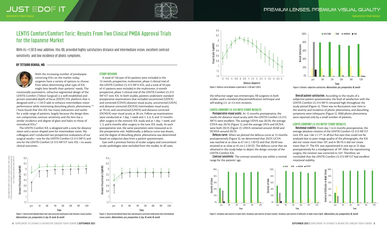### PREMIUM LENSES, PREMIUM VISUAL QUALITY





the refractive target was emmetropia. All surgeons in both studies used a standard phacoemulsification technique and self-sealing 2.3- or 2.4-mm incisions.

#### LENTIS COMFORT LS-313 MF15 STUDY RESULTS

**Postoperative visual acuity.** At 12 months postoperative, the results for distance visual acuity with the LENTIS Comfort LS-313 MF15 were excellent. The average UDVA was 20/20, the average CDVA was 20/16 (Figure 1), and the average UIVA and DCIVA were both 20/25 (Figure 2). UNVA remained around 20/60 and DCNVA around 20/70.

**Defocus curve.** When we plotted the defocus curve at 12 months postoperatively (Figure 3), we determined that 20/25 UCVA was reached at as close as 67 cm (-1.50 D) and that 20/40 was attained at as close as 45 cm (-2.20 D). The defocus curve that we obtained in this study helps to depict the design concept of the LENTIS Comfort IOL.

**Contrast sensitivity.** The contrast sensitivity was within a normal range for the patients' age.

rotationally asymmetric, refractive-segmented design of the LENTIS Comfort (Teleon Surgical) is a well-established and proven extended depth of focus (EDOF) IOL platform that is designed with a +1.50 D add to enhance intermediate vision performance while minimizing disturbing photic phenomena.<sup>1-6</sup> I have found that this IOL has many indications and works for a wide range of patients, largely because the design does not compromise contrast sensitivity and the lens has a similar incidence and degree of glare and halos to those of monofocal IOLs.<sup>6</sup>

**Overall patient satisfaction**. According to the results of a subjective patient questionnaire, the level of satisfaction with the LENTIS Comfort LS-313 MF15 remained high throughout the study period (Figure 4). There was no fluctuation over time in the severity and incidence of photic phenomena, and disturbing symptoms were infrequent (Figure 5). Mild photic phenomena were reported only by a small number of patients.

#### LENTIS COMFORT LS-313 MF15T STUDY RESULTS

**Rotational stability.** From day 1 to 6 months postoperative, the average absolute rotation of the LENTIS Comfort LS-313 MF15T toric IOL was 1.66 ±1.17º. In all but five eyes that could not be analyzed due to poor image quality of the photographs, the IOL did not rotate more than 10º, and in 98.1% it did not rotate more than 5º. The IOL was repositioned in one eye at 22 days postoperatively for a misalignment of 19º. After the repositioning surgery, the rotation was corrected to 3.6º. Therefore, we concluded that the LENTIS Comfort LS-313 MF15T had excellent rotational stability.

With the increasing number of presbyopiacorrecting IOLs on the market today, surgeons have a variety of options to choose from when determining what type of IOL might best benefit their patients' needs. The

The LENTIS Comfort IOL is designed with a zone for distance vision and a sector-shaped zone for intermediate vision. My colleagues and I conducted two prospective evaluations of our surgical results—one for the LENTIS Comfort LS-313 MF15 and one for the LENTIS Comfort LS-313 MF15T toric IOL—to assess clinical outcomes.

#### STUDY DESIGNS

A total of 120 eyes of 65 patients were included in the 12-month, prospective, multicenter, phase 3 clinical trial of the LENTIS Comfort LS-313 MF15 IOL, and a total of 59 eyes of 41 patients were included in the multicenter, 6-month prospective, phase 3 clinical trial of the LENTIS Comfort LS-313 MF15T toric IOL. In both studies, patients underwent standard preoperative examinations that included uncorrected (UDVA) and corrected (CDVA) distance visual acuity, uncorrected (UIVA) and distance-corrected (DCIVA) intermediate visual acuity at 70 cm, and uncorrected (UNVA) and distance-corrected (DCNVA) near visual acuity at 30 cm. Follow-up examinations were conducted at 1 day, 1 week and 1, 3, 6, 9, and 12 months after surgery in the nontoric IOL study and at 1 day, 1 week, and 1, 3, and 6 months after surgery in the toric IOL study. At each postoperative visit, the same parameters were measured as in the preoperative visit. Additionally, a defocus curve was drawn, and the degree of disturbing photic phenomena was determined based on subjective data from a patient questionnaire.

Eyes with a previous history of ocular surgery and concomitant ocular pathologies were excluded from the studies. In all cases,

With its +1.50 D near addition, this IOL provided highly satisfactory distance and intermediate vision, excellent contrast sensitivity, and low incidence of photic symptoms.

#### BY TETSURO OSHIKA, MD





## LENTIS Comfort/Comfort Toric: Results From Two Clinical PMDA Approval Trials for the Japanese Market

Figure 1. Uncorrected (dotted black line) and corrected (solid green line) distance visual acuities. *Abbreviations: pre, preoperative; D, day; W, week; M, month*

Figure 2. Uncorrected (dotted black line) and distance-corrected (solid green line) intermediate visual acuities. *Abbreviations: pre, preoperative; D, day; W, week; M, month*



Figure 3. Defocus curve between a spectrum of +2.00 and -5.00 D.







Figure 4. Patients' subjective satisfaction. *Abbreviation: pre, preoperative; M, month*

Figure 5. Incidence and severity of glare (left). Incidence and severity of halos (center). Incidence and severity of difficulty in night vision (right). *Abbreviation: pre, preoperative; M, month*

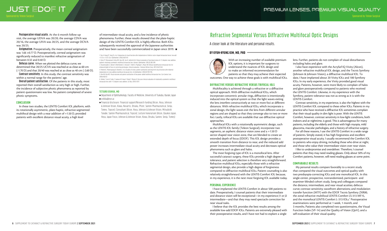



**Astigmatism.** Preoperatively, the mean corneal astigmatism was 1.66 ±0.77 D. Postoperatively, corneal astigmatism was significantly reduced to manifest refractive astigmatism of between 0.32 and 0.40 D.

**Defocus curve.** When we plotted the defocus curve, we determined that 20/25 UCVA was reached at as close as 60 cm (-1.70 D) and that 20/40 was reached at as close as 40 cm (-2.60 D).

of intermediate visual acuity, and a low incidence of photic phenomena. Further, these results showed that the plate-haptic design of the LENTIS Comfort IOL is highly effective. Both IOLs subsequently received the approval of the Japanese authorities and have been successfully commercialized in Japan since 2019.  $\blacksquare$ 

**Contrast sensitivity.** In this study, the contrast sensitivity was within a normal range for the patients' age.

**Overall patient satisfaction.** Of the patients in this study, most reported their overall satisfaction as very high or high. Further, the incidence of subjective photic phenomena as reported by patient questionnaire was low. No patient complained of severe photic symptoms.

#### CONCLUSION

In these two studies, the LENTIS Comfort IOL platform, with its rotationally asymmetric, plate-haptic, refractive-segmented multifocal design with a near addition of +1.50 D, provided patients with excellent distance visual acuity, a high level

<sup>n</sup> Department of Ophthalmology, Faculty of Medicine, University of Tsukuba, Ibaraki, Japan  $\blacksquare$  oshika@eye.ac

1. Yoo A, Kwag JY, Song IS, et al. Comparison of visual function after implantation of inferior sector-shaped intraocular lenses: low-add +1.5 D vs +3.0 D. *Eur J Ophthalmol.* 2016;26:607-611.

2. Kretz FT, Khoramnia R, Attia MS, Koss MJ, Linz K, Auffarth GU. Clinical evaluation of functional vision of +1.5 diopters near addition, aspheric rotational asymmetric multifocal intraocular lens. *Korean J Ophthalmol.* 2016;30:382-389. 3. Vounotrypidis E, Diener R, Wertheimer C, Kreutzer T, Wolf A, Priglinger S, Mayer WJ. Bifocal nondiffractive intraocular lens for enhanced depth of focus in correcting presbyopia: clinical evaluation. *J Cataract Refract Surg.* 2017;43:627-632. 4. Pedrotti E, Mastropasqua R, Bonetto J, et al. Quality of vision, patient satisfaction and long-term visual function after bilateral implantation of a low addition multifocal intraocular lens. *Int Ophthalmol.* 2018;38:1709-1716.

5. Kim KH, Kim WS. Visual outcome and patient satisfaction of low-power added multifocal intraocular lens. *Eye Contact Lens.* 2018;44:60-67.

6. Oshika T, Arai H, Fujita Y, Inamura M, Inoue Y, Noda T, Miyata K. One-year clinical evaluation of rotationally asymmetric multifocal intraocular lens with +1.5 diopters near addition. *Sci Rep*. 2019;9:13117.

#### **TETSURO OSHIKA, MD**

<sup>n</sup> Financial disclosure: Financial support/Research funding (Alcon, Hoya, Johnson & Johnson Vision, Kowa, Novartis, Otsuka, Pfizer, Santen Pharmaceutical, Senju, Tomey, Topcon); Consultant (Alcon, Hoya, Johnson & Johnson Vision, Mitsubishi Tanabe, Santen Pharmaceutical, Topcon); Lecture honorarium (Alcon, Glaukos Japan, Hoya, Japan Focus, Johnson & Johnson Vision, Kowa, Otsuka, Santen, Senju, Tomey)

With an increasing number of available premium IOL options, it is important for surgeons to understand the nuances of IOL design and to make an informed recommendation for patients so that they may achieve their expected

outcomes. One way to achieve these goals is with multifocal IOLs.

#### DIFFRACTIVE VERSUS REFRACTIVE VERSUS TRIFOCAL IOLS

Multifocality is achieved through a refractive or a diffractive optical approach. With diffractive multifocal IOLs, which incorporate concentric annular rings, diffraction is intentionally induced into the optical system so that the light waves exiting the lens interfere constructively at two or more foci at different distances. With refractive multifocal IOLs, which incorporate a zonal design, the light waves exit the lens from different annular regions and are shaped so that they converge also to two or more foci. Lastly, trifocal IOLs are available that use diffractive optical approaches.

Multifocal IOLs with a rotationally asymmetric design, such as the LENTIS IOL family (Teleon Surgical), incorporate two segments, an aspheric distance vision zone and a +1.50 D sector-shaped near vision zone, that are blended to create an extended depth of focus (EDOF). This IOL design provides a smooth transition from distance to near, and the reduced add power increases intermediate visual acuity and decreases optical phenomena such as glare and halos.

The most forgiving type of IOL is a monofocal lens. After successful cataract surgery, these IOLs provide a high degree of tolerance, and patient selection is therefore very straightforward. Refractive multifocal IOLs, especially those with a refractive segmental design, also provide a high degree of forgiveness compared to diffractive multifocal IOLs. Patient counseling is also relatively straightforward with the LENTIS Comfort IOL because, in my experience, it is the next most forgiving IOL available today.

#### PERSONAL EXPERIENCE

I have implanted the LENTIS Comfort in about 500 patients to date. Preoperatively, I counsel patients that their intermediate and distance vision will be exceptional—in my experience J1 or J2 intermediate—and that they may need spectacle correction for near visual tasks.

I believe that the IOL provides the best results among the available low-add EDOF IOLs. Patients are extremely pleased with their postoperative results, and I have not had to explant a single

lens. Further, patients do not complain of visual disturbances including halos and glare.

I also have experience with the AcrySof IQ Vivity (Alcon), another refractive multifocal IOL design, and the Tecnis Symfony (Johnson & Johnson Vision), a diffractive multifocal IOL. To date, I have implanted about 20 Vivity IOLs and 100 Symfony IOLs. In my early experience, the Vivity provided good visual acuity. Patients, however, were more likely to complain of halos and glare postoperatively compared to patients who received the LENTIS Comfort. Likewise, in my experience with the Symfony, patient tolerance was not as strong as it is with the LENTIS Comfort.

Contrast sensitivity, in my experience, is also the highest with the LENTIS Comfort IOL compared to these other IOLs. Patients in my practice who have received a diffractive IOL sometimes complain that their visual quality in dim light is poor. With the LENTIS Comfort, however, contrast sensitivity in low-light conditions, both indoors and at nighttime, is good. This is advantageous for many patients, including the elderly and those with high myopia, mild glaucoma, macular pathologies, and a history of refractive surgery.

For all these reasons, I use the LENTIS Comfort in a wide range of patients. Simply stated, it has high forgiveness and excellent postoperative visual acuity. I usually recommend the Comfort IOL to patients who enjoy driving, including those who drive at night, and those who value their intermediate vision over near vision.

I like to underpromise and overdeliver. Therefore, I counsel patients that they may need reading glasses. Only about 50% of my Comfort patients, however, will need reading glasses at some point.

#### COMPARABLE RESULTS

My personal results compare favorably to a recent study that compared the visual outcomes and optical quality with two presbyopia-correcting IOLs and one monofocal IOL. In this single-center, prospective, nonrandomized, participant- and examiner-blinded cohort study, Song and colleagues compared the distance, intermediate, and near visual acuities; defocus curve; contrast sensitivity; wavefront aberrations; and modulation transfer function (MTF) with the EDOF Tecnis Symfony ZXR00, the zonal refractive multifocal LENTIS Comfort LS-313 MF15, and the monofocal LENTIS Comfort L-313 IOLs.<sup>1</sup> Postoperative examinations were performed at 1 week, 1 month, and 3 months. Patients also completed two questionnaires, the Visual Function Index (VF-14) and the Quality of Vision (QoV), and a self-evaluation of their visual quality.

A closer look at the literature and personal results.

#### BY KYUN-HYUNG KIM, MD, PHD  $-$



## Refractive Segmental Versus Diffractive Multifocal Optic Designs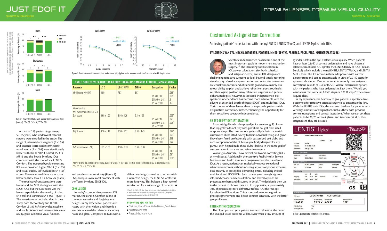moderate

A total of 113 patients (age range, 50–85 years) who underwent cataract surgery were enrolled in the study. The range of intermediate vergence (*P* < .05) and distance-corrected intermediate visual acuity ( $P \leq .001$ ) were significantly better with the LENTIS Comfort LS-313 MF15 and the Tecnis Symfony IOLs compared with the monofocal LENTIS Comfort. The two presbyopia-correcting IOLs also provided higher VF-14 (*P* < .05) and visual quality self-evaluation (*P* < .05) scores. There was no difference in score between these two IOLs, however (Table).

diffractive design, as well as to others with a refractive design, the LENTIS Comfort is more forgiving. This bolsters a high rate of satisfaction for a wide range of patients.  $\blacksquare$ 

The total wavefront aberrations were lowest and the MTF the highest with the EDOF IOLs, but the QoV score was the lowest, especially for the severity of halos (*P* < .01) and starbursts (*P* < .05) (Figure 1). The investigators concluded that, in their study, both the Symfony and LENTIS Comfort LS-313 MF15 provided excellent and stable distance and intermediate visual acuity, good subjective visual function,

and good contrast sensitivity (Figure 2). Dysphotopsias were most prominent with the Tecnis Symfony EDOF IOL.

#### CONCLUSION

In today's competitive premium IOL market, the LENTIS Comfort is one of the most versatile and forgiving lens designs. In my experience, patients are happy with their vision, and there is a low rate of visual disturbances including halos and glare. Compared to IOLs with a 1. Song X, Liu X, Wang W, et al. Visual outcome and optical quality after implantation of zonal refractive multifocal and extended-range-of-vision IOLs: a prospective comparison. *J Cataract Refract Surg.* 2020;46:540-548.

#### **KYUN-HYUNG KIM, MD, PHD**

- $\blacksquare$  Chairman, Central Seoul Medical Center, South Korea
- <sup>n</sup> tigerme@naver.com
- $=$  Financial disclosure: None

Spectacle independence has become one of the most important goals in modern lens extraction surgery.<sup>1,2</sup> The increasing sophistication in IOL power calculations (for both spherical and astigmatic error) and in IOL designs are challenging refractive surgeons to look beyond simply restoring visual acuity. Visual acuity restoration and refractive outcomes are equally important and obtainable goals today, mainly due to our ability to plan and achieve refractive targets routinely.<sup>3</sup> Another logical goal for many refractive surgeons and general ophthalmologists, however, is spectacle independence. Full spectacle independence has become more achievable with the advent of extended depth of focus (EDOF) and multifocal IOLs. Toric models of these lenses allow us to provide patients with astigmatism correction, further enhancing the opportunity for them to achieve spectacle independence.

#### AN EYE ON PATIENT SATISFACTION

mild not at all

Sponsored by Teleon Surgical Sponsored by Teleon Surgical Sponsored by Teleon Surgical Sponsored by Teleon Surgical

As an avid golfer who also played junior amateur golf, I know that top golfers do not play with golf clubs bought from retail or sports shops. The most serious golfers all ply their trade with customized clubs fitted exactly to their individual swing and game. I have been fitted professionally with customized golf clubs, and each component of the club was specifically designed for my game. I even helped build these clubs. I believe in the same goal of customization in cataract and refractive surgery.

Working in Australia, I have several presbyopia-correcting IOLs at my disposal. Additionally, the country's Public Health Service, Medicare, and health insurance programs cover the use of toric IOLs. As a result, patients can realistically expect exceptional refractive outcomes without incurring any out-of-pocket expenses. I use an array of presbyopia-correcting lenses, including trifocal, multifocal, and EDOF IOLs. Each patient goes through vigorous informed consent and consultation, and several options are presented to them and discussed in detail. The decision is then up to the patient to choose their IOL. In my practice, approximately 30% of patients opt for a diffractive trifocal IOL; the rest opt for refractive IOL options. This is mostly due to less nighttime photopic phenomena and better contrast sensitivity with the latter group of lenses.

#### ASTIGMATISM CORRECTION

The closer you can get a patient to a zero refraction, the better the unaided visual outcome will be. Even when a tiny amount of

cylinder is left in the eye, it affects visual quality. When patients have at least 0.50 D of corneal astigmatism and have chosen a refractive multifocal IOL, I prefer the LENTIS family of IOLs (Teleon Surgical), which include the myLENTIS, LENTIS TPlusX, and LENTIS Mplus toric. The IOLs come in three add powers with narrow diopter steps and can be customizable in units of 0.01 D steps for sphere and cylinder. Most other retail lenses only have astigmatic corrections in units of 0.50 or 0.75 D. When I discuss lens options with my patients who have astigmatism, I ask them, "Would you want a lens that comes in 0.75 D steps or 0.01 D steps?" The answer is quite clear.

In my experience, the best way to give patients a spectacle-free outcome after refractive cataract surgery is to customize the lens. With the LENTIS toric IOLs, this can even be done for patients with very high amounts of astigmatism, such as those with previous corneal transplants and corneal lacerations. When we can get these patients to be 20/20 without glasses and treat almost all of their astigmatism, they are ecstatic.

Achieving patients' expectations with the myLENTIS, LENTIS TPlusX, and LENTIS Mplus toric IOLs.

#### BY LOURENS VAN ZYL, MBCHB, DIPOPHTH, FCOPHTH, MMED(OPHTH), FRANZCO, FRCSI, FEBO, MMED(REFCATSURG)



## Customized Astigmatism Correction

Figure 1. Severity of halo (top), starbursts (center), and glare (bottom). \**P* < .05; \*\**P* < .01; \*\*\**P* < .001.







Figure 2. Contrast sensitivities with (left) and without (right) glare under mesopic conditions 3 months after IOL implantation.



Figure 1. Example of a customized IOL printout.

| <b>Parameter</b>                                               | $L - 313$       | LS-313 MF15     | ZXROO           | <b>Comparison</b>                            | P Value                                 |
|----------------------------------------------------------------|-----------------|-----------------|-----------------|----------------------------------------------|-----------------------------------------|
| $VF-14 score > 90 (%)$                                         | 48.9            | 78.7            | 61.7            | LS vs L-313<br>ZXROO vs L-313<br>LS vs ZXR00 | $.012*$<br>$.005*$<br>$\cdot$ 3<br>.114 |
| Visual quality<br>self-evaluation (mean $\pm$ SD)<br>Day score | $8.68 \pm 1.03$ | $8.98 \pm 1.26$ | $9.19 \pm 1.25$ | LS vs L-313<br>ZXROO vs L-313<br>LS vs ZXR00 | $.029*$<br>.220<br>$.028*$<br>1         |
| Night score                                                    | $8.36 \pm 1.16$ | $8.90 \pm 1.37$ | $8.66 \pm 1.43$ | LS vs L-313<br>ZXR00 vs L-313<br>LS vs ZXR00 | $.027*$<br>$.023*$<br>.318<br>.877      |
| $QoV$ score (mean $\pm$ SD)                                    | $1.83 \pm 3.03$ | $3.98 \pm 6.99$ | $5.66 \pm 6.06$ | LS vs L-313<br>ZXR00 vs L-313<br>LS vs ZXR00 | $\bigcap$<br>.81<br>$.01^*$<br>$.034*$  |

Figures and table adapted from: Song X, Liu X, Wang W, et al. Visual outcome and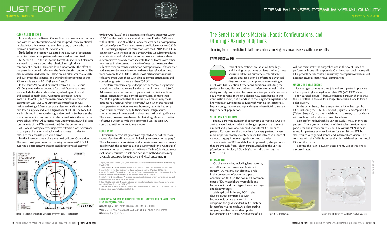



#### CLINICAL EXPERIENCE

I currently use the Barrett Online Toric IOL formula in conjunction with lens customization, and this has produced exceptional results. In fact, I've never had to enhance any patient who has received a customized LENTIS toric lens.

**Study design.** We recently evaluated the accuracy of astigmatic refractive outcomes in patients who received a customized LENTIS toric IOL. In this study, the Barrett Online Toric Calculator was used to calculate both the spherical and cylindrical component of an IOL. This calculation incorporates the effect of the posterior corneal surface on the final cylindrical outcome. The data was then used with the Teleon online calculator to calculate and customize the spherical and cylindrical components of the IOL to a tolerance of 0.01 D (Figures 1 and 2).

Customizing astigmatism correction with the LENTIS toric IOL in conjunction with the use of the Barrett Online Calculator produced accurate visual and refractive outcomes. In our experience, these outcomes were clinically more accurate than outcomes with other toric lenses. In the current study, 44% of eyes had no measurable refractive error on manifest refraction postoperatively. Of those that had a measurable refractive error with manifest refraction, most were no more than 0.50 D. Further, most patients with residual refractive errors were those with oblique corneal astigmatism and corneal astigmatism of greater than 2.50  $D<sup>4-7</sup>$ 

In this series, 90 eyes (48 patients) received a LENTIS toric IOL. Only eyes with the potential for a satisfactory outcome were included in the study, and no eyes had signs of retinal and corneal comorbidities. Astigmatic correction ranged from 0.27 to 4.98 D, and the mean preoperative keratometric astigmatism was 1.32 D. Routine phacoemulsification was performed using a 2.2-mm temporal clear corneal incision with a calculated surgically induced astigmatism of 0.00 D. The toric IOL was implanted in the capsular bag and rotated to 90º because the toric component is customized to the desired axis with the IOL in a vertical axis of 90º. All surgeries were uncomplicated, and all toric components of the IOLs were within 5º of the desired axis.

At 6 weeks postoperative, subjective refraction was performed to compare the target and achieved outcomes in order to calculate the absolute prediction error.

Residual refractive astigmatism is regarded as one of the main causes of patient dissatisfaction following lens extraction surgery.2 The achievement of consistent and accurate refractive outcomes is possible with the combined use of a customized toric IOL (LENTIS) in conjunction with the use of the Barrett Online Calculator. In our evaluations, this lens is a safe and accurate method of obtaining favorable postoperative refractive and visual outcomes.  $\blacksquare$ 

**Results.** Postoperatively, there was no significant IOL rotation. The mean postoperative refractive astigmatism was 0.31 D. All eyes had a postoperative uncorrected distance visual acuity of

0.0 logMAR (20/20) and postoperative refractive outcomes within ±1.00 D of the predicted cylindrical outcome. Further, 94% were within ±0.50 D, and 40 of the 90 operated eyes had a postoperative refraction of plano. The mean absolute prediction error was 0.32 D.

The Barrett formula adjusts for posterior corneal astigmatism at oblique angles and corneal astigmatism of more than 2.50 D. Adjustments are not needed in patients with anterior oblique corneal astigmatism and corneal astigmatism of more than 2.50 D. It is postulated that this is the main reason why these patients had residual refractive errors.<sup>4</sup> Even when the residual postoperative refraction was low, however, patients had very good visual outcomes despite their corneal astigmatism.

A larger study is warranted to show any statistical significance. There was, however, an observable clinical significance of better refractive outcomes with the customized LENTIS toric IOL compared with other toric lens models.

#### CONCLUSION

- 2. Law EM, Aggarwal RK, Kasaby H. Clinical outcomes with a new trifocal intraocular lens. *Eur J Ophthalmol.* 2014;24(4):501-508. 3. Alpins NA. A new method of analyzing vectors for changes in astigmatism. *J Cataract Refract Surg.* 1993;19:524-533. 4. Goggin M, Zamora-Alejo K, Esterman A, van Zyl L. Adjustment of anterior corneal astigmatism values to incorporate the likely effect
- of posterior corneal curvature for toric intraocular lens calculation. *J Refract Surg*. 2015;31:98-102. 5. Goggin M, van Zyl L, Caputo S, Esterman A. Outcome of adjustment for posterior corneal curvature in toric intraocular lens calcula-
- tion and selection. *J Cataract Refract Surg*. 2016;42:1441-1448.

6. Sheen-Ophir S, LaHood B, Goggin M. Refractive outcome of toric intraocular lens calculation in cases of oblique anterior corneal astigmatism. *J Cataract Refract Surg*. 2020;46:688-693.

7. LaHood BR, Goggin M, Esterman A. Assessing the likely effect of posterior corneal curvature on toric IOL calculation for IOLs of 2.50 D or greater cylinder power. *J Refract Surg.* 2017;33:730-734.

#### **LOURENS VAN ZYL, MBCHB, DIPOPHTH, FCOPHTH, MMED(OPHTH), FRANZCO, FRCSI, FEBO, MMED(REFCATSURG)**

■ Crystal Eye & Laser Centre, Booragoon and Craigie, Australia

- <sup>n</sup> lourens.vanzyl@crystaleye.com.au; Instagram and Twitter @drvanzyleyes
- 

Patient expectations are at an all-time high, and helping our patients achieve the best, most accurate refractive outcomes after cataract surgery goes far beyond performing advanced diagnostics and other preoperative testing to assist with IOL selection. Other considerations including the patient's history, lifestyle, and visual preferences as well as the ability to truly customize the procedure to a patient's needs are equally important in the final decision. Success begins in the examination room, but it ends with the surgeon's expertise and knowledge. Having access to IOLs with varying lens materials, haptic configurations, and optic designs is beneficial to serve a larger patient population.

#### SELECTING A PLATFORM

Today, a growing number of presbyopia-correcting IOLs are available worldwide, and it is no longer appropriate to select a model and power of a standard monofocal IOL for each patient. Customizing the procedure for every patient is even more important today mainly because the refractive aspect of cataract surgery is increasingly important to patients. I use a variety of IOL models. I am impressed by the platforms that are available from Teleon Surgical, including the LENTIS (Comfort and Mplus), ACUNEX (Vario and Variomax), and

FEMTIS IOLs.

#### IOL MATERIAL

IOL characteristics, including lens material, can influence the outcomes of cataract surgery. IOL material can also play a role in the prevention of posterior capsular opacification (PCO).<sup>1</sup> The two most common types of IOL material are hydrophilic and hydrophobic, and both types have advantages and disadvantages.

With hydrophilic lenses, PCO might develop earlier compared to with hydrophobic acrylate lenses.<sup>2</sup> In my viewpoint, the gold standard in IOL material is therefore hydrophobic. As a vitreoretinal surgeon, another reason that I prefer hydrophobic IOLs is because this type of IOL will not complicate the surgical course in the event I need to perform a silicone oil tamponade. On the other hand, hydrophilic IOLs provide better contrast sensitivity postoperatively because it does not cause as many visual disturbances.

#### MAKING THE BEST CHOICE

For younger patients in their 50s and 60s, I prefer implanting a hydrophobic glistening-free acrylate IOL (ACUNEX Vario, Teleon Surgical; Figure 1) because there is a greater chance that the IOL will be in the eye for a longer time than it would for an older patient.

On the other hand, I have implanted a lot of hydrophilic IOLs, including the LENTIS Comfort (Figure 2) and Mplus IOLs (Teleon Surgical), in patients with retinal disease, such as those with well-controlled diabetic macular edema.

I also prefer the hydrophilic LENTIS Mplus MF30 in myopic patients. The asymmetrical optic of the Mplus provides very good near and intermediate vision. The Mplus MF20 is best suited for patients who are looking for a multifocal IOL but also require very good distance and intermediate vision. The contrast with the MF20 is better than it is with other multifocal IOLs on the market.

I also use the FEMTIS IOL on occasion; my use of this lens is discussed later.





Choosing from three distinct platforms and customizing lens power is easy with Teleon's IOLs.

#### BY IVA PETKOVA, MD



## The Benefits of Lens Material, Haptic Configurations, and Offering a Variety of Options



Figure 2. Example of a custom IOL with 14.86 D of sphere and 2.79 D of cylinder.

Figure 1. The ACUNEX Vario. Figure 2. The LENTIS Comfort and LENTIS Comfort Toric IOLs.

Courtesy of Teleon Surgical

<sup>1.</sup> Mojzis P, Peña-García P, Liehneova I, Ziak P, Alió JL. Outcomes of a new diffractive trifocal intraocular lens. *J Cataract Refract Surg.*  2014;40(1):60-69.